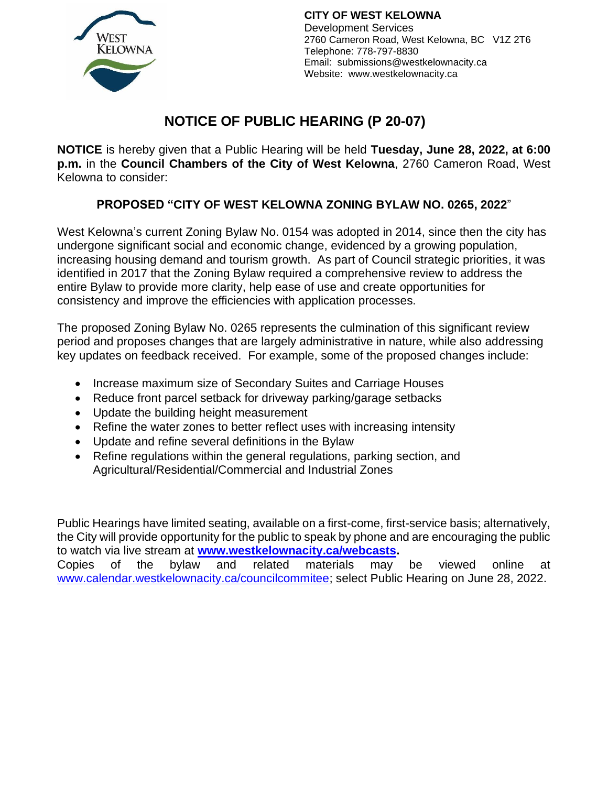

**CITY OF WEST KELOWNA** Development Services 2760 Cameron Road, West Kelowna, BC V1Z 2T6 Telephone: 778-797-8830 Email: submissions@westkelownacity.ca Website: www.westkelownacity.ca

# **NOTICE OF PUBLIC HEARING (P 20-07)**

**NOTICE** is hereby given that a Public Hearing will be held **Tuesday, June 28, 2022, at 6:00 p.m.** in the **Council Chambers of the City of West Kelowna**, 2760 Cameron Road, West Kelowna to consider:

#### **PROPOSED "CITY OF WEST KELOWNA ZONING BYLAW NO. 0265, 2022**"

West Kelowna's current Zoning Bylaw No. 0154 was adopted in 2014, since then the city has undergone significant social and economic change, evidenced by a growing population, increasing housing demand and tourism growth. As part of Council strategic priorities, it was identified in 2017 that the Zoning Bylaw required a comprehensive review to address the entire Bylaw to provide more clarity, help ease of use and create opportunities for consistency and improve the efficiencies with application processes.

The proposed Zoning Bylaw No. 0265 represents the culmination of this significant review period and proposes changes that are largely administrative in nature, while also addressing key updates on feedback received. For example, some of the proposed changes include:

- Increase maximum size of Secondary Suites and Carriage Houses
- Reduce front parcel setback for driveway parking/garage setbacks
- Update the building height measurement
- Refine the water zones to better reflect uses with increasing intensity
- Update and refine several definitions in the Bylaw
- Refine regulations within the general regulations, parking section, and Agricultural/Residential/Commercial and Industrial Zones

Public Hearings have limited seating, available on a first-come, first-service basis; alternatively, the City will provide opportunity for the public to speak by phone and are encouraging the public to watch via live stream at **[www.westkelownacity.ca/webcasts.](http://www.westkelownacity.ca/webcasts)**  Copies of the bylaw and related materials may be viewed online at [www.calendar.westkelownacity.ca/councilcommitee;](http://www.calendar.westkelownacity.ca/councilcommitee) select Public Hearing on June 28, 2022.